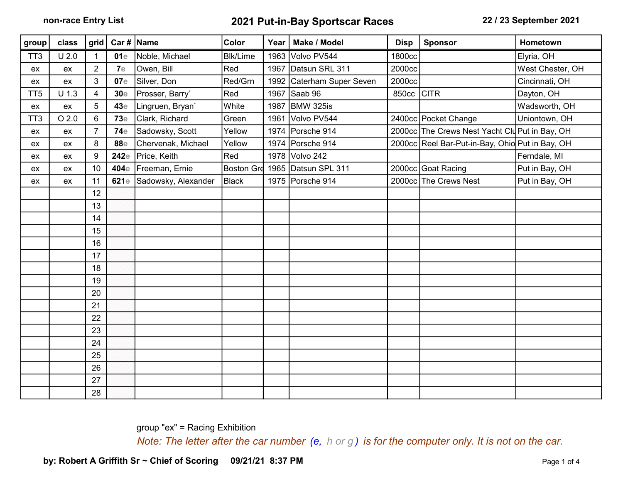| group           | class      | grid           |            | Car #   Name             | Color           | Year | Make / Model         | <b>Disp</b> | <b>Sponsor</b>                                  | Hometown         |
|-----------------|------------|----------------|------------|--------------------------|-----------------|------|----------------------|-------------|-------------------------------------------------|------------------|
| TT <sub>3</sub> | $U$ 2.0    | $\mathbf{1}$   | 01e        | Noble, Michael           | <b>Blk/Lime</b> | 1963 | Volvo PV544          | 1800cc      |                                                 | Elyria, OH       |
| ex              | ex         | $\overline{2}$ | 7e         | Owen, Bill               | Red             | 1967 | Datsun SRL 311       | 2000cc      |                                                 | West Chester, OH |
| ex.             | ex         | 3              | 07e        | Silver, Don              | Red/Grn         | 1992 | Caterham Super Seven | 2000cc      |                                                 | Cincinnati, OH   |
| TT <sub>5</sub> | $U$ 1.3    | $\overline{4}$ | 30e        | Prosser, Barry`          | Red             | 1967 | Saab 96              | 850cc CITR  |                                                 | Dayton, OH       |
| ex              | ${\sf ex}$ | 5              | 43e        | Lingruen, Bryan'         | White           | 1987 | BMW 325is            |             |                                                 | Wadsworth, OH    |
| TT <sub>3</sub> | $O$ 2.0    | 6              | <b>73e</b> | Clark, Richard           | Green           | 1961 | Volvo PV544          |             | 2400cc Pocket Change                            | Uniontown, OH    |
| ex              | ex         | $\overline{7}$ | 74e        | Sadowsky, Scott          | Yellow          | 1974 | Porsche 914          |             | 2000cc The Crews Nest Yacht Clu Put in Bay, OH  |                  |
| ex              | ex         | 8              | 88e        | Chervenak, Michael       | Yellow          |      | 1974 Porsche 914     |             | 2000cc Reel Bar-Put-in-Bay, Ohio Put in Bay, OH |                  |
| ex              | ex         | 9              | 242e       | Price, Keith             | Red             |      | 1978 Volvo 242       |             |                                                 | Ferndale, MI     |
| ex              | ex         | 10             |            | 404e Freeman, Ernie      | Boston Grd 1965 |      | Datsun SPL 311       |             | 2000cc Goat Racing                              | Put in Bay, OH   |
| ex              | ex         | 11             |            | 621e Sadowsky, Alexander | <b>Black</b>    | 1975 | Porsche 914          |             | 2000cc The Crews Nest                           | Put in Bay, OH   |
|                 |            | 12             |            |                          |                 |      |                      |             |                                                 |                  |
|                 |            | 13             |            |                          |                 |      |                      |             |                                                 |                  |
|                 |            | 14             |            |                          |                 |      |                      |             |                                                 |                  |
|                 |            | 15             |            |                          |                 |      |                      |             |                                                 |                  |
|                 |            | 16             |            |                          |                 |      |                      |             |                                                 |                  |
|                 |            | 17             |            |                          |                 |      |                      |             |                                                 |                  |
|                 |            | 18             |            |                          |                 |      |                      |             |                                                 |                  |
|                 |            | 19             |            |                          |                 |      |                      |             |                                                 |                  |
|                 |            | 20             |            |                          |                 |      |                      |             |                                                 |                  |
|                 |            | 21             |            |                          |                 |      |                      |             |                                                 |                  |
|                 |            | 22             |            |                          |                 |      |                      |             |                                                 |                  |
|                 |            | 23             |            |                          |                 |      |                      |             |                                                 |                  |
|                 |            | 24             |            |                          |                 |      |                      |             |                                                 |                  |
|                 |            | 25             |            |                          |                 |      |                      |             |                                                 |                  |
|                 |            | 26             |            |                          |                 |      |                      |             |                                                 |                  |
|                 |            | 27             |            |                          |                 |      |                      |             |                                                 |                  |
|                 |            | 28             |            |                          |                 |      |                      |             |                                                 |                  |

group "ex" = Racing Exhibition

Note: The letter after the car number  $(e, h \text{ or } g)$  is for the computer only. It is not on the car.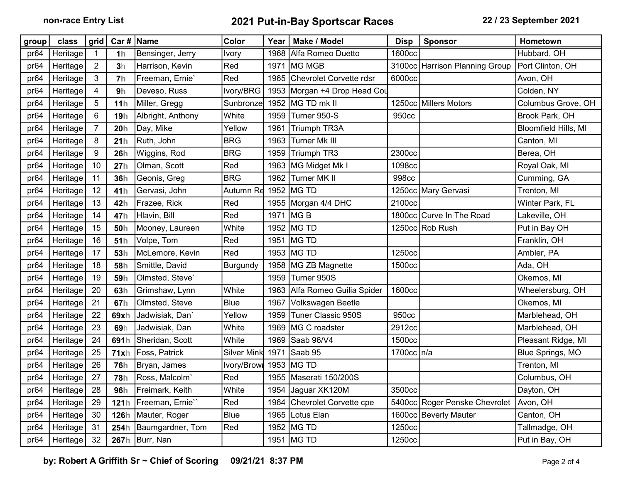| group            | class    | grid           | Car #   Name    |                   | Color            | Year | Make / Model                 | <b>Disp</b>  | <b>Sponsor</b>                 | Hometown             |
|------------------|----------|----------------|-----------------|-------------------|------------------|------|------------------------------|--------------|--------------------------------|----------------------|
| pr <sub>64</sub> | Heritage | $\mathbf 1$    | 1 <sub>h</sub>  | Bensinger, Jerry  | Ivory            | 1968 | Alfa Romeo Duetto            | 1600cc       |                                | Hubbard, OH          |
| pr64             | Heritage | $\overline{2}$ | 3h              | Harrison, Kevin   | Red              | 1971 | MG MGB                       |              | 3100cc Harrison Planning Group | Port Clinton, OH     |
| pr <sub>64</sub> | Heritage | 3              | 7 <sub>h</sub>  | Freeman, Ernie'   | Red              | 1965 | Chevrolet Corvette rdsr      | 6000cc       |                                | Avon, OH             |
| pr64             | Heritage | 4              | 9h              | Deveso, Russ      | Ivory/BRG        |      | 1953 Morgan +4 Drop Head Cou |              |                                | Colden, NY           |
| pr64             | Heritage | 5              | 11 <sub>h</sub> | Miller, Gregg     | <b>Sunbronze</b> | 1952 | MG TD mk II                  |              | 1250cc Millers Motors          | Columbus Grove, OH   |
| pr64             | Heritage | 6              | 19h             | Albright, Anthony | White            | 1959 | Turner 950-S                 | 950cc        |                                | Brook Park, OH       |
| pr64             | Heritage | $\overline{7}$ | 20h             | Day, Mike         | Yellow           | 1961 | Triumph TR3A                 |              |                                | Bloomfield Hills, MI |
| pr64             | Heritage | 8              | 21h             | Ruth, John        | <b>BRG</b>       | 1963 | Turner Mk III                |              |                                | Canton, MI           |
| pr64             | Heritage | 9              | 26h             | Wiggins, Rod      | <b>BRG</b>       | 1959 | Triumph TR3                  | 2300cc       |                                | Berea, OH            |
| pr <sub>64</sub> | Heritage | 10             | 27h             | Olman, Scott      | Red              | 1963 | MG Midget Mk I               | 1098cc       |                                | Royal Oak, MI        |
| pr <sub>64</sub> | Heritage | 11             | 36h             | Geonis, Greg      | <b>BRG</b>       | 1962 | Turner MK II                 | 998cc        |                                | Cumming, GA          |
| pr64             | Heritage | 12             | 41h             | Gervasi, John     | Autumn Re        | 1952 | MG TD                        |              | 1250cc Mary Gervasi            | Trenton, MI          |
| pr64             | Heritage | 13             | 42h             | Frazee, Rick      | Red              |      | 1955   Morgan 4/4 DHC        | 2100cc       |                                | Winter Park, FL      |
| pr64             | Heritage | 14             | 47h             | Hlavin, Bill      | Red              | 1971 | MG <sub>B</sub>              |              | 1800cc Curve In The Road       | Lakeville, OH        |
| pr64             | Heritage | 15             | 50h             | Mooney, Laureen   | White            | 1952 | MG TD                        |              | 1250cc Rob Rush                | Put in Bay OH        |
| pr64             | Heritage | 16             | 51h             | Volpe, Tom        | Red              | 1951 | MG TD                        |              |                                | Franklin, OH         |
| pr64             | Heritage | 17             | 53h             | McLemore, Kevin   | Red              |      | 1953   MG TD                 | 1250cc       |                                | Ambler, PA           |
| pr <sub>64</sub> | Heritage | 18             | 58h             | Smittle, David    | <b>Burgundy</b>  | 1958 | MG ZB Magnette               | 1500cc       |                                | Ada, OH              |
| pr <sub>64</sub> | Heritage | 19             | 59h             | Olmsted, Steve'   |                  | 1959 | Turner 950S                  |              |                                | Okemos, MI           |
| pr64             | Heritage | 20             | 63h             | Grimshaw, Lynn    | White            | 1963 | Alfa Romeo Guilia Spider     | 1600cc       |                                | Wheelersburg, OH     |
| pr <sub>64</sub> | Heritage | 21             | 67h             | Olmsted, Steve    | <b>Blue</b>      | 1967 | Volkswagen Beetle            |              |                                | Okemos, MI           |
| pr64             | Heritage | 22             | 69xh            | Jadwisiak, Dan'   | Yellow           | 1959 | Tuner Classic 950S           | 950cc        |                                | Marblehead, OH       |
| pr <sub>64</sub> | Heritage | 23             | 69h             | Jadwisiak, Dan    | White            | 1969 | MG C roadster                | 2912cc       |                                | Marblehead, OH       |
| pr <sub>64</sub> | Heritage | 24             | 691h            | Sheridan, Scott   | White            | 1969 | Saab 96/V4                   | 1500cc       |                                | Pleasant Ridge, MI   |
| pr <sub>64</sub> | Heritage | 25             | 71xh            | Foss, Patrick     | Silver Mink      | 1971 | Saab 95                      | 1700cc   n/a |                                | Blue Springs, MO     |
| pr <sub>64</sub> | Heritage | 26             | <b>76h</b>      | Bryan, James      | Ivory/Browl      | 1953 | MG TD                        |              |                                | Trenton, MI          |
| pr64             | Heritage | 27             | <b>78h</b>      | Ross, Malcolm`    | Red              | 1955 | Maserati 150/200S            |              |                                | Columbus, OH         |
| pr64             | Heritage | 28             | 96h             | Freimark, Keith   | White            | 1954 | Jaguar XK120M                | 3500cc       |                                | Dayton, OH           |
| pr <sub>64</sub> | Heritage | 29             | 121h            | Freeman, Ernie"   | Red              | 1964 | Chevrolet Corvette cpe       |              | 5400cc Roger Penske Chevrolet  | Avon, OH             |
| pr <sub>64</sub> | Heritage | 30             | <b>126h</b>     | Mauter, Roger     | <b>Blue</b>      | 1965 | Lotus Elan                   |              | 1600cc Beverly Mauter          | Canton, OH           |
| pr64             | Heritage | 31             | 254h            | Baumgardner, Tom  | Red              | 1952 | MG TD                        | 1250cc       |                                | Tallmadge, OH        |
| pr64             | Heritage | 32             |                 | 267h   Burr, Nan  |                  |      | 1951 MG TD                   | 1250cc       |                                | Put in Bay, OH       |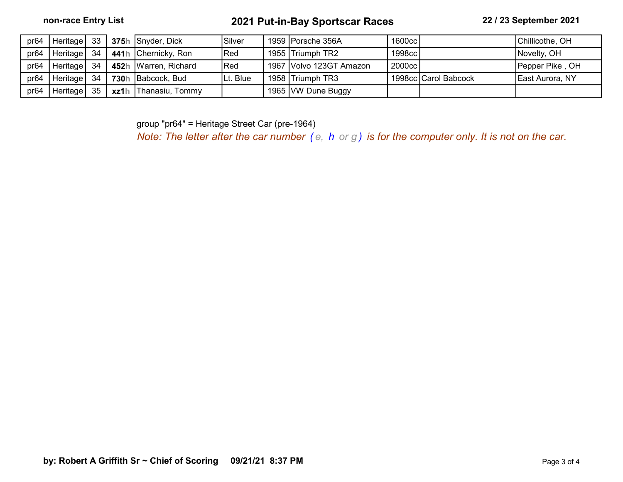| pr <sub>64</sub> |               |  | Heritage 33 375h Snyder, Dick | Silver      | 1959   Porsche 356A     | 1600cc |                      | Chillicothe, OH |
|------------------|---------------|--|-------------------------------|-------------|-------------------------|--------|----------------------|-----------------|
| pr64             | Heritage 34   |  | 441h Chernicky, Ron           | Red         | 1955 Triumph TR2        | 1998cc |                      | Novelty, OH     |
| pr64             | Heritage 34 I |  | 452h Warren, Richard          | <b>IRed</b> | 1967 Volvo 123GT Amazon | 2000cc |                      | Pepper Pike, OH |
| pr <sub>64</sub> | Heritage   34 |  | 730h Babcock, Bud             | Lt. Blue    | 1958 Triumph TR3        |        | 1998cc Carol Babcock | East Aurora, NY |
| pr64             | Heritage 35   |  | xz1h Thanasiu, Tommy          |             | 1965 VW Dune Buggy      |        |                      |                 |

group "pr64" = Heritage Street Car (pre-1964)

Note: The letter after the car number  $(e, h \text{ or } g)$  is for the computer only. It is not on the car.